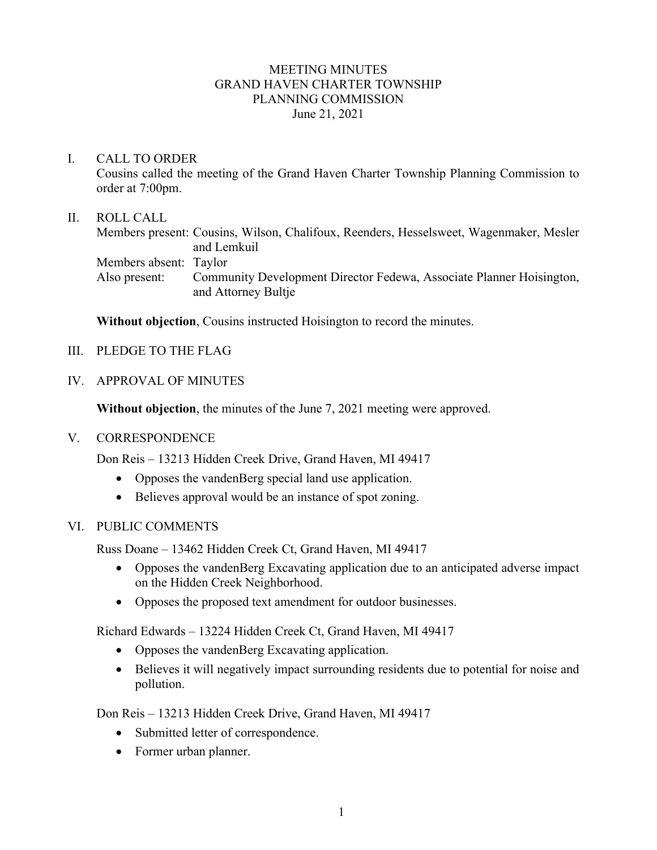## MEETING MINUTES GRAND HAVEN CHARTER TOWNSHIP PLANNING COMMISSION June 21, 2021

## I. CALL TO ORDER

Cousins called the meeting of the Grand Haven Charter Township Planning Commission to order at 7:00pm.

## II. ROLL CALL

Members present: Cousins, Wilson, Chalifoux, Reenders, Hesselsweet, Wagenmaker, Mesler and Lemkuil Members absent: Taylor Also present: Community Development Director Fedewa, Associate Planner Hoisington, and Attorney Bultje

**Without objection**, Cousins instructed Hoisington to record the minutes.

- III. PLEDGE TO THE FLAG
- IV. APPROVAL OF MINUTES

**Without objection**, the minutes of the June 7, 2021 meeting were approved.

### V. CORRESPONDENCE

Don Reis – 13213 Hidden Creek Drive, Grand Haven, MI 49417

- Opposes the vandenBerg special land use application.
- Believes approval would be an instance of spot zoning.

### VI. PUBLIC COMMENTS

Russ Doane – 13462 Hidden Creek Ct, Grand Haven, MI 49417

- Opposes the vandenBerg Excavating application due to an anticipated adverse impact on the Hidden Creek Neighborhood.
- Opposes the proposed text amendment for outdoor businesses.

Richard Edwards – 13224 Hidden Creek Ct, Grand Haven, MI 49417

- Opposes the vandenBerg Excavating application.
- Believes it will negatively impact surrounding residents due to potential for noise and pollution.

Don Reis – 13213 Hidden Creek Drive, Grand Haven, MI 49417

- Submitted letter of correspondence.
- Former urban planner.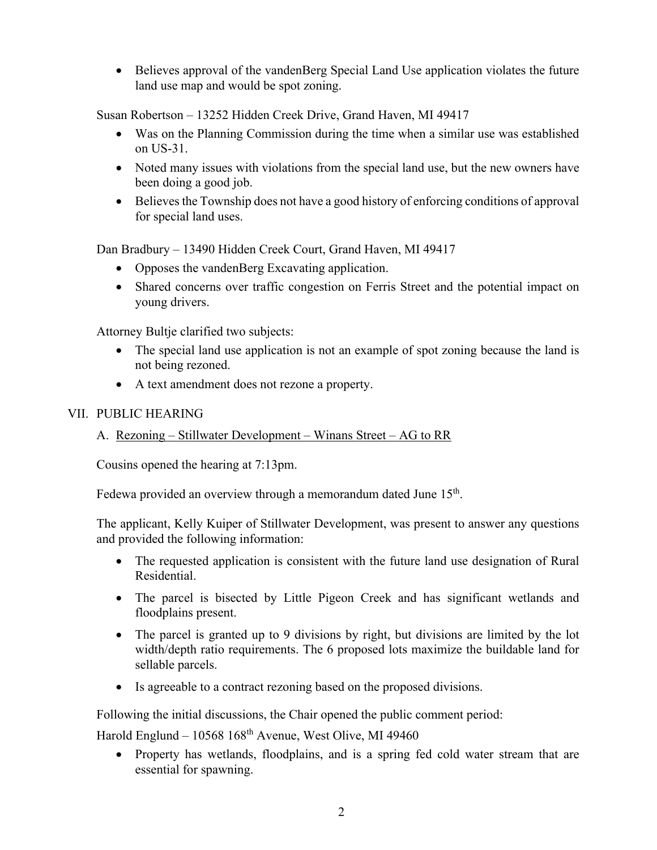• Believes approval of the vandenBerg Special Land Use application violates the future land use map and would be spot zoning.

Susan Robertson – 13252 Hidden Creek Drive, Grand Haven, MI 49417

- Was on the Planning Commission during the time when a similar use was established on US-31.
- Noted many issues with violations from the special land use, but the new owners have been doing a good job.
- Believes the Township does not have a good history of enforcing conditions of approval for special land uses.

Dan Bradbury – 13490 Hidden Creek Court, Grand Haven, MI 49417

- Opposes the vandenBerg Excavating application.
- Shared concerns over traffic congestion on Ferris Street and the potential impact on young drivers.

Attorney Bultje clarified two subjects:

- The special land use application is not an example of spot zoning because the land is not being rezoned.
- A text amendment does not rezone a property.

## VII. PUBLIC HEARING

# A. Rezoning – Stillwater Development – Winans Street – AG to RR

Cousins opened the hearing at 7:13pm.

Fedewa provided an overview through a memorandum dated June 15<sup>th</sup>.

The applicant, Kelly Kuiper of Stillwater Development, was present to answer any questions and provided the following information:

- The requested application is consistent with the future land use designation of Rural Residential.
- The parcel is bisected by Little Pigeon Creek and has significant wetlands and floodplains present.
- The parcel is granted up to 9 divisions by right, but divisions are limited by the lot width/depth ratio requirements. The 6 proposed lots maximize the buildable land for sellable parcels.
- Is agreeable to a contract rezoning based on the proposed divisions.

Following the initial discussions, the Chair opened the public comment period:

Harold Englund –  $10568$   $168<sup>th</sup>$  Avenue, West Olive, MI 49460

• Property has wetlands, floodplains, and is a spring fed cold water stream that are essential for spawning.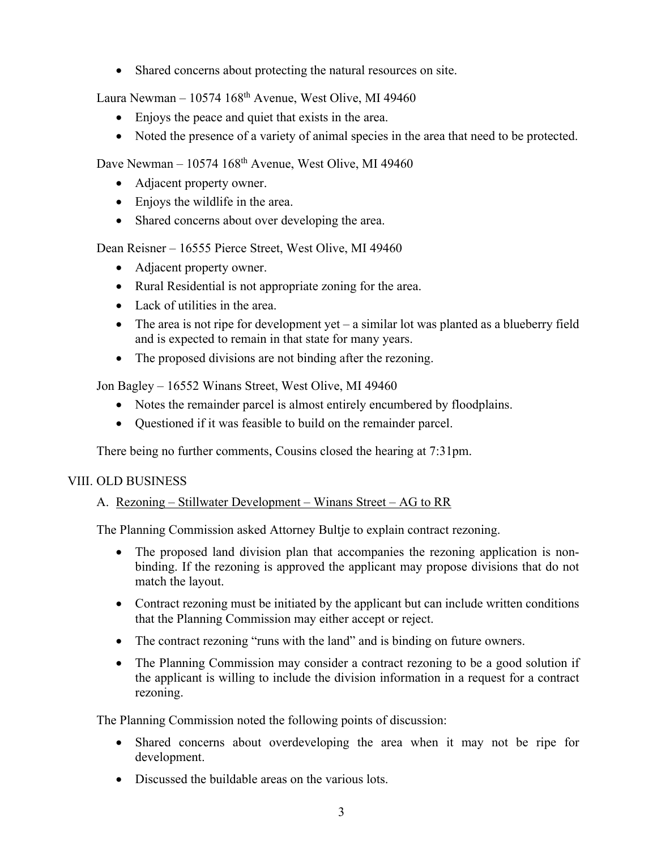• Shared concerns about protecting the natural resources on site.

Laura Newman –  $10574~168$ <sup>th</sup> Avenue, West Olive, MI 49460

- Enjoys the peace and quiet that exists in the area.
- Noted the presence of a variety of animal species in the area that need to be protected.

Dave Newman –  $10574~168^{\text{th}}$  Avenue, West Olive, MI 49460

- Adjacent property owner.
- Enjoys the wildlife in the area.
- Shared concerns about over developing the area.

Dean Reisner – 16555 Pierce Street, West Olive, MI 49460

- Adjacent property owner.
- Rural Residential is not appropriate zoning for the area.
- Lack of utilities in the area.
- The area is not ripe for development yet a similar lot was planted as a blueberry field and is expected to remain in that state for many years.
- The proposed divisions are not binding after the rezoning.

Jon Bagley – 16552 Winans Street, West Olive, MI 49460

- Notes the remainder parcel is almost entirely encumbered by floodplains.
- Questioned if it was feasible to build on the remainder parcel.

There being no further comments, Cousins closed the hearing at 7:31pm.

# VIII. OLD BUSINESS

# A. Rezoning – Stillwater Development – Winans Street – AG to RR

The Planning Commission asked Attorney Bultje to explain contract rezoning.

- The proposed land division plan that accompanies the rezoning application is nonbinding. If the rezoning is approved the applicant may propose divisions that do not match the layout.
- Contract rezoning must be initiated by the applicant but can include written conditions that the Planning Commission may either accept or reject.
- The contract rezoning "runs with the land" and is binding on future owners.
- The Planning Commission may consider a contract rezoning to be a good solution if the applicant is willing to include the division information in a request for a contract rezoning.

The Planning Commission noted the following points of discussion:

- Shared concerns about overdeveloping the area when it may not be ripe for development.
- Discussed the buildable areas on the various lots.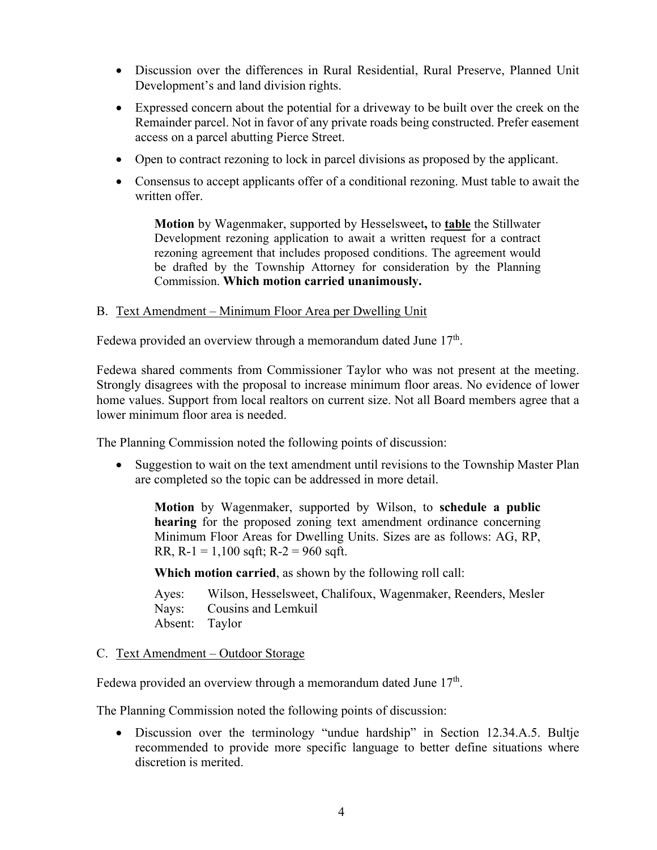- Discussion over the differences in Rural Residential, Rural Preserve, Planned Unit Development's and land division rights.
- Expressed concern about the potential for a driveway to be built over the creek on the Remainder parcel. Not in favor of any private roads being constructed. Prefer easement access on a parcel abutting Pierce Street.
- Open to contract rezoning to lock in parcel divisions as proposed by the applicant.
- Consensus to accept applicants offer of a conditional rezoning. Must table to await the written offer.

**Motion** by Wagenmaker, supported by Hesselsweet**,** to **table** the Stillwater Development rezoning application to await a written request for a contract rezoning agreement that includes proposed conditions. The agreement would be drafted by the Township Attorney for consideration by the Planning Commission. **Which motion carried unanimously.**

#### B. Text Amendment – Minimum Floor Area per Dwelling Unit

Fedewa provided an overview through a memorandum dated June  $17<sup>th</sup>$ .

Fedewa shared comments from Commissioner Taylor who was not present at the meeting. Strongly disagrees with the proposal to increase minimum floor areas. No evidence of lower home values. Support from local realtors on current size. Not all Board members agree that a lower minimum floor area is needed.

The Planning Commission noted the following points of discussion:

• Suggestion to wait on the text amendment until revisions to the Township Master Plan are completed so the topic can be addressed in more detail.

**Motion** by Wagenmaker, supported by Wilson, to **schedule a public hearing** for the proposed zoning text amendment ordinance concerning Minimum Floor Areas for Dwelling Units. Sizes are as follows: AG, RP, RR,  $R-1 = 1,100$  sqft;  $R-2 = 960$  sqft.

**Which motion carried**, as shown by the following roll call:

Ayes: Wilson, Hesselsweet, Chalifoux, Wagenmaker, Reenders, Mesler Nays: Cousins and Lemkuil Absent: Taylor

#### C. Text Amendment – Outdoor Storage

Fedewa provided an overview through a memorandum dated June 17<sup>th</sup>.

The Planning Commission noted the following points of discussion:

• Discussion over the terminology "undue hardship" in Section 12.34.A.5. Bultie recommended to provide more specific language to better define situations where discretion is merited.